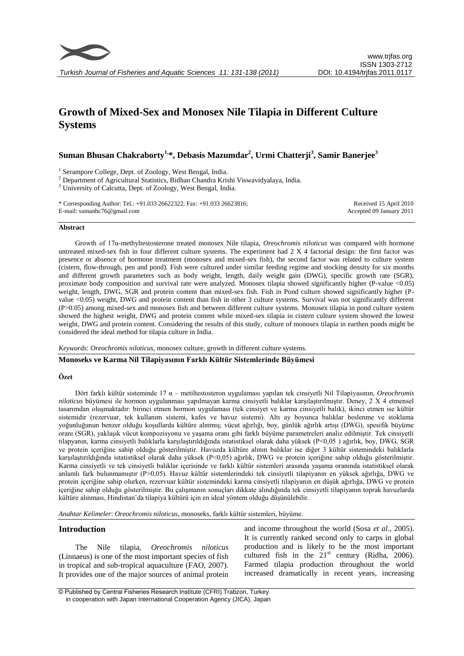

# **Growth of Mixed-Sex and Monosex Nile Tilapia in Different Culture Systems**

**Suman Bhusan Chakraborty1, \*, Debasis Mazumdar<sup>2</sup> , Urmi Chatterji<sup>3</sup> , Samir Banerjee<sup>3</sup>**

<sup>1</sup> Serampore College, Dept. of Zoology, West Bengal, India.

<sup>2</sup> Department of Agricultural Statistics, Bidhan Chandra Krishi Viswavidyalaya, India.

<sup>3</sup> University of Calcutta, Dept. of Zoology, West Bengal, India.

\* Corresponding Author: Tel.: +91.033 26622322; Fax: +91.033 26623816; E-mail: sumanbc76@gmail.com

Received 15 April 2010 Accepted 09 January 2011

#### **Abstract**

Growth of 17α-methyltestosterone treated monosex Nile tilapia, *Oreochromis niloticus* was compared with hormone untreated mixed-sex fish in four different culture systems. The experiment had 2 X 4 factorial design: the first factor was presence or absence of hormone treatment (monosex and mixed-sex fish), the second factor was related to culture system (cistern, flow-through, pen and pond). Fish were cultured under similar feeding regime and stocking density for six months and different growth parameters such as body weight, length, daily weight gain (DWG), specific growth rate (SGR), proximate body composition and survival rate were analyzed. Monosex tilapia showed significantly higher (P-value <0.05) weight, length, DWG, SGR and protein content than mixed-sex fish. Fish in Pond culture showed significantly higher (Pvalue <0.05) weight, DWG and protein content than fish in other 3 culture systems. Survival was not significantly different (P>0.05) among mixed-sex and monosex fish and between different culture systems. Monosex tilapia in pond culture system showed the highest weight, DWG and protein content while mixed-sex tilapia in cistern culture system showed the lowest weight, DWG and protein content. Considering the results of this study, culture of monosex tilapia in earthen ponds might be considered the ideal method for tilapia culture in India.

*Keywords*: *Oreochromis niloticus*, monosex culture, growth in different culture systems.

### **Monoseks ve Karma Nil Tilapiyasının Farklı Kültür Sistemlerinde Büyümesi**

#### **Özet**

Dört farklı kültür sisteminde 17 α – metiltestosteron uygulaması yapılan tek cinsiyetli Nil Tilapiyasının, *Oreochromis niloticus* büyümesi ile hormon uygulanması yapılmayan karma cinsiyetli balıklar karşılaştırılmıştır. Deney, 2 X 4 etmensel tasarımdan oluşmaktadır: birinci etmen hormon uygulaması (tek cinsiyet ve karma cinsiyetli balık), ikinci etmen ise kültür sistemidir (rezervuar, tek kullanım sistemi, kafes ve havuz sistemi). Altı ay boyunca balıklar beslenme ve stoklama yoğunluğunun benzer olduğu koşullarda kültüre alınmış; vücut ağırlığı, boy, günlük ağırlık artışı (DWG), spesifik büyüme oranı (SGR), yaklaşık vücut kompozisyonu ve yaşama oranı gibi farklı büyüme parametreleri analiz edilmiştir. Tek cinsiyetli tilapyanın, karma cinsiyetli balıklarla karşılaştırıldığında istatistiksel olarak daha yüksek (P<0,05 ) ağırlık, boy, DWG, SGR ve protein içeriğine sahip olduğu gösterilmiştir. Havuzda kültüre alının balıklar ise diğer 3 kültür sistemindeki balıklarla karşılaştırıldığında istatistiksel olarak daha yüksek (P<0,05) ağırlık, DWG ve protein içeriğine sahip olduğu gösterilmiştir. Karma cinsiyetli ve tek cinsiyetli balıklar içerisinde ve farklı kültür sistemleri arasında yaşama oranında istatistiksel olarak anlamlı fark bulunmamıştır (P>0,05). Havuz kültür sistemlerindeki tek cinsiyetli tilapiyanın en yüksek ağırlığa, DWG ve protein içeriğine sahip olurken, rezervuar kültür sistemindeki karma cinsiyetli tilapiyanın en düşük ağırlığa, DWG ve protein içeriğine sahip olduğu gösterilmiştir. Bu çalışmanın sonuçları dikkate alındığında tek cinsiyetli tilapiyanın toprak havuzlarda kültüre alınması, Hindistan'da tilapiya kültürü için en ideal yöntem olduğu düşünülebilir.

*Anahtar Kelimeler*: *Oreochromis niloticus*, monoseks, farklı kültür sistemleri, büyüme.

# **Introduction**

The Nile tilapia, *Oreochromis niloticus* (Linnaeus) is one of the most important species of fish in tropical and sub-tropical aquaculture (FAO, 2007). It provides one of the major sources of animal protein

and income throughout the world (Sosa *et al*., 2005). It is currently ranked second only to carps in global production and is likely to be the most important cultured fish in the  $21<sup>st</sup>$  century (Ridha, 2006). Farmed tilapia production throughout the world increased dramatically in recent years, increasing

<sup>©</sup> Published by Central Fisheries Research Institute (CFRI) Trabzon, Turkey in cooperation with Japan International Cooperation Agency (JICA), Japan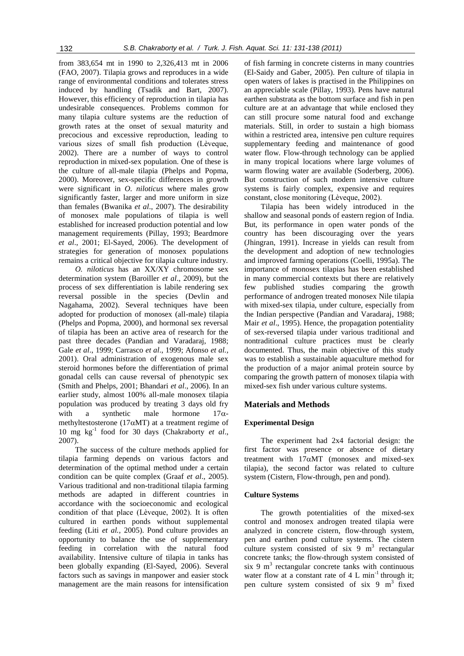from 383,654 mt in 1990 to 2,326,413 mt in 2006 (FAO, 2007). Tilapia grows and reproduces in a wide range of environmental conditions and tolerates stress induced by handling (Tsadik and Bart, 2007). However, this efficiency of reproduction in tilapia has undesirable consequences. Problems common for many tilapia culture systems are the reduction of growth rates at the onset of sexual maturity and precocious and excessive reproduction, leading to various sizes of small fish production (Lèveque, 2002). There are a number of ways to control reproduction in mixed-sex population. One of these is the culture of all-male tilapia (Phelps and Popma, 2000). Moreover, sex-specific differences in growth were significant in *O. niloticus* where males grow significantly faster, larger and more uniform in size than females (Bwanika *et al*., 2007). The desirability of monosex male populations of tilapia is well established for increased production potential and low management requirements (Pillay, 1993; Beardmore *et al*., 2001; El-Sayed, 2006). The development of strategies for generation of monosex populations remains a critical objective for tilapia culture industry.

*O. niloticus* has an XX/XY chromosome sex determination system (Baroiller *et al*., 2009), but the process of sex differentiation is labile rendering sex reversal possible in the species (Devlin and Nagahama, 2002). Several techniques have been adopted for production of monosex (all-male) tilapia (Phelps and Popma, 2000), and hormonal sex reversal of tilapia has been an active area of research for the past three decades (Pandian and Varadaraj, 1988; Gale *et al*., 1999; Carrasco *et al*., 1999; Afonso *et al.,* 2001). Oral administration of exogenous male sex steroid hormones before the differentiation of primal gonadal cells can cause reversal of phenotypic sex (Smith and Phelps, 2001; Bhandari *et al*., 2006). In an earlier study, almost 100% all-male monosex tilapia population was produced by treating 3 days old fry with a synthetic male hormone  $17\alpha$ methyltestosterone (17 $\alpha$ MT) at a treatment regime of 10 mg kg-1 food for 30 days (Chakraborty *et al*., 2007).

The success of the culture methods applied for tilapia farming depends on various factors and determination of the optimal method under a certain condition can be quite complex (Graaf *et al*., 2005). Various traditional and non-traditional tilapia farming methods are adapted in different countries in accordance with the socioeconomic and ecological condition of that place (Lèveque, 2002). It is often cultured in earthen ponds without supplemental feeding (Liti *et al.,* 2005). Pond culture provides an opportunity to balance the use of supplementary feeding in correlation with the natural food availability. Intensive culture of tilapia in tanks has been globally expanding (El-Sayed, 2006). Several factors such as savings in manpower and easier stock management are the main reasons for intensification

of fish farming in concrete cisterns in many countries (El-Saidy and Gaber, 2005). Pen culture of tilapia in open waters of lakes is practised in the Philippines on an appreciable scale (Pillay, 1993). Pens have natural earthen substrata as the bottom surface and fish in pen culture are at an advantage that while enclosed they can still procure some natural food and exchange materials. Still, in order to sustain a high biomass within a restricted area, intensive pen culture requires supplementary feeding and maintenance of good water flow. Flow-through technology can be applied in many tropical locations where large volumes of warm flowing water are available (Soderberg, 2006). But construction of such modern intensive culture systems is fairly complex, expensive and requires constant, close monitoring (Lèveque, 2002).

Tilapia has been widely introduced in the shallow and seasonal ponds of eastern region of India. But, its performance in open water ponds of the country has been discouraging over the years (Jhingran, 1991). Increase in yields can result from the development and adoption of new technologies and improved farming operations (Coelli, 1995a). The importance of monosex tilapias has been established in many commercial contexts but there are relatively few published studies comparing the growth performance of androgen treated monosex Nile tilapia with mixed-sex tilapia, under culture, especially from the Indian perspective (Pandian and Varadaraj, 1988; Mair *et al*., 1995). Hence, the propagation potentiality of sex-reversed tilapia under various traditional and nontraditional culture practices must be clearly documented. Thus, the main objective of this study was to establish a sustainable aquaculture method for the production of a major animal protein source by comparing the growth pattern of monosex tilapia with mixed-sex fish under various culture systems.

# **Materials and Methods**

## **Experimental Design**

The experiment had 2x4 factorial design: the first factor was presence or absence of dietary treatment with  $17\alpha MT$  (monosex and mixed-sex tilapia), the second factor was related to culture system (Cistern, Flow-through, pen and pond).

## **Culture Systems**

The growth potentialities of the mixed-sex control and monosex androgen treated tilapia were analyzed in concrete cistern, flow-through system, pen and earthen pond culture systems. The cistern culture system consisted of six  $9 \text{ m}^3$  rectangular concrete tanks; the flow-through system consisted of  $\sin 9$  m<sup>3</sup> rectangular concrete tanks with continuous water flow at a constant rate of  $4 L min^{-1}$  through it; pen culture system consisted of six  $9 \text{ m}^3$  fixed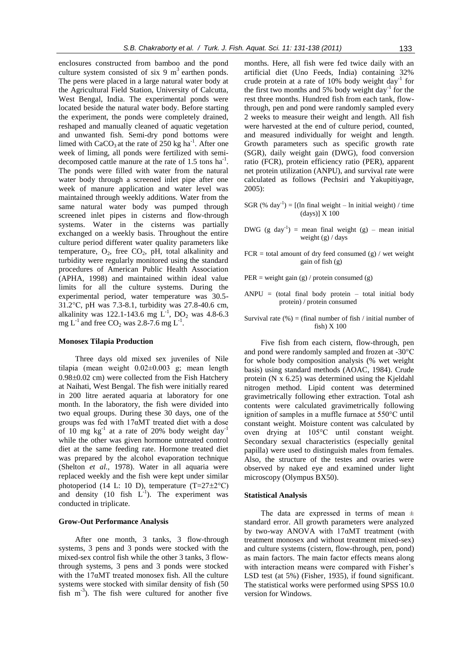enclosures constructed from bamboo and the pond culture system consisted of six  $9 \text{ m}^3$  earthen ponds. The pens were placed in a large natural water body at the Agricultural Field Station, University of Calcutta, West Bengal, India. The experimental ponds were located beside the natural water body. Before starting the experiment, the ponds were completely drained, reshaped and manually cleaned of aquatic vegetation and unwanted fish. Semi-dry pond bottoms were limed with  $CaCO<sub>3</sub>$  at the rate of 250 kg ha<sup>-1</sup>. After one week of liming, all ponds were fertilized with semidecomposed cattle manure at the rate of  $1.5$  tons ha<sup>-1</sup>. The ponds were filled with water from the natural water body through a screened inlet pipe after one week of manure application and water level was maintained through weekly additions. Water from the same natural water body was pumped through screened inlet pipes in cisterns and flow-through systems. Water in the cisterns was partially exchanged on a weekly basis. Throughout the entire culture period different water quality parameters like temperature,  $O_2$ , free  $CO_2$ , pH, total alkalinity and turbidity were regularly monitored using the standard procedures of American Public Health Association (APHA, 1998) and maintained within ideal value limits for all the culture systems. During the experimental period, water temperature was 30.5- 31.2°C, pH was 7.3-8.1, turbidity was 27.8-40.6 cm, alkalinity was 122.1-143.6 mg  $\dot{L}^{1}$ , DO<sub>2</sub> was 4.8-6.3 mg  $L^{-1}$  and free CO<sub>2</sub> was 2.8-7.6 mg  $L^{-1}$ .

#### **Monosex Tilapia Production**

Three days old mixed sex juveniles of Nile tilapia (mean weight 0.02±0.003 g; mean length  $0.98\pm0.02$  cm) were collected from the Fish Hatchery at Naihati, West Bengal. The fish were initially reared in 200 litre aerated aquaria at laboratory for one month. In the laboratory, the fish were divided into two equal groups. During these 30 days, one of the groups was fed with 17αMT treated diet with a dose of 10 mg  $kg^{-1}$  at a rate of 20% body weight day<sup>-1</sup> while the other was given hormone untreated control diet at the same feeding rate. Hormone treated diet was prepared by the alcohol evaporation technique (Shelton *et al.,* 1978). Water in all aquaria were replaced weekly and the fish were kept under similar photoperiod (14 L: 10 D), temperature  $(T=27\pm2\degree C)$ and density  $(10$  fish  $L^{-1}$ ). The experiment was conducted in triplicate.

#### **Grow-Out Performance Analysis**

After one month, 3 tanks, 3 flow-through systems, 3 pens and 3 ponds were stocked with the mixed-sex control fish while the other 3 tanks, 3 flowthrough systems, 3 pens and 3 ponds were stocked with the 17αMT treated monosex fish. All the culture systems were stocked with similar density of fish (50 fish m<sup>-3</sup>). The fish were cultured for another five

months. Here, all fish were fed twice daily with an artificial diet (Uno Feeds, India) containing 32% crude protein at a rate of  $10\%$  body weight day<sup>-1</sup> for the first two months and 5% body weight  $day^{-1}$  for the rest three months. Hundred fish from each tank, flowthrough, pen and pond were randomly sampled every 2 weeks to measure their weight and length. All fish were harvested at the end of culture period, counted, and measured individually for weight and length. Growth parameters such as specific growth rate (SGR), daily weight gain (DWG), food conversion ratio (FCR), protein efficiency ratio (PER), apparent net protein utilization (ANPU), and survival rate were calculated as follows (Pechsiri and Yakupitiyage, 2005):

- SGR  $(\%$  day<sup>-1</sup>) = [(ln final weight ln initial weight) / time (days)] X 100
- DWG (g day<sup>-1</sup>) = mean final weight (g) mean initial weight (g) / days
- $FCR = total$  amount of dry feed consumed (g) / wet weight gain of fish (g)
- PER = weight gain (g) / protein consumed (g)
- $ANPU = (total final body protein total initial body)$ protein) / protein consumed
- Survival rate  $(\%)$  = (final number of fish / initial number of fish) X 100

Five fish from each cistern, flow-through, pen and pond were randomly sampled and frozen at -30°C for whole body composition analysis (% wet weight basis) using standard methods (AOAC, 1984). Crude protein (N x 6.25) was determined using the Kjeldahl nitrogen method. Lipid content was determined gravimetrically following ether extraction. Total ash contents were calculated gravimetrically following ignition of samples in a muffle furnace at 550°C until constant weight. Moisture content was calculated by oven drying at 105°C until constant weight. Secondary sexual characteristics (especially genital papilla) were used to distinguish males from females. Also, the structure of the testes and ovaries were observed by naked eye and examined under light microscopy (Olympus BX50).

#### **Statistical Analysis**

The data are expressed in terms of mean  $\pm$ standard error. All growth parameters were analyzed by two-way ANOVA with 17αMT treatment (with treatment monosex and without treatment mixed-sex) and culture systems (cistern, flow-through, pen, pond) as main factors. The main factor effects means along with interaction means were compared with Fisher's LSD test (at 5%) (Fisher, 1935), if found significant. The statistical works were performed using SPSS 10.0 version for Windows.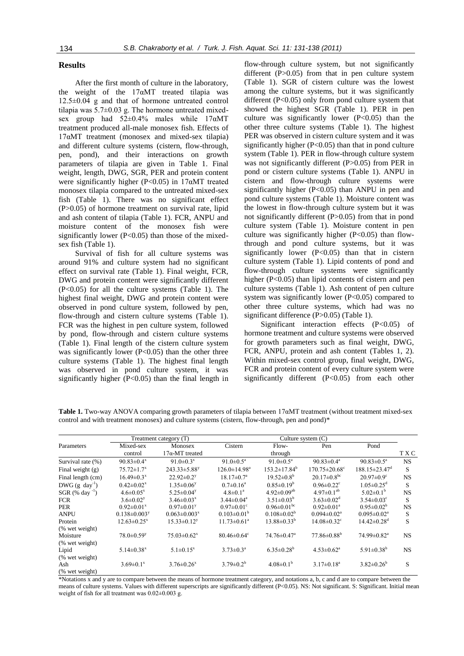#### **Results**

After the first month of culture in the laboratory, the weight of the  $17\alpha MT$  treated tilapia was 12.5±0.04 g and that of hormone untreated control tilapia was 5.7±0.03 g. The hormone untreated mixedsex group had 52±0.4% males while 17αMT treatment produced all-male monosex fish. Effects of 17αMT treatment (monosex and mixed-sex tilapia) and different culture systems (cistern, flow-through, pen, pond), and their interactions on growth parameters of tilapia are given in Table 1. Final weight, length, DWG, SGR, PER and protein content were significantly higher (P<0.05) in  $17\alpha MT$  treated monosex tilapia compared to the untreated mixed-sex fish (Table 1). There was no significant effect (P>0.05) of hormone treatment on survival rate, lipid and ash content of tilapia (Table 1). FCR, ANPU and moisture content of the monosex fish were significantly lower (P<0.05) than those of the mixedsex fish (Table 1).

Survival of fish for all culture systems was around 91% and culture system had no significant effect on survival rate (Table 1). Final weight, FCR, DWG and protein content were significantly different (P<0.05) for all the culture systems (Table 1). The highest final weight, DWG and protein content were observed in pond culture system, followed by pen, flow-through and cistern culture systems (Table 1). FCR was the highest in pen culture system, followed by pond, flow-through and cistern culture systems (Table 1). Final length of the cistern culture system was significantly lower  $(P<0.05)$  than the other three culture systems (Table 1). The highest final length was observed in pond culture system, it was significantly higher  $(P<0.05)$  than the final length in

flow-through culture system, but not significantly different  $(P>0.05)$  from that in pen culture system (Table 1). SGR of cistern culture was the lowest among the culture systems, but it was significantly different  $(P<0.05)$  only from pond culture system that showed the highest SGR (Table 1). PER in pen culture was significantly lower  $(P<0.05)$  than the other three culture systems (Table 1). The highest PER was observed in cistern culture system and it was significantly higher (P<0.05) than that in pond culture system (Table 1). PER in flow-through culture system was not significantly different (P>0.05) from PER in pond or cistern culture systems (Table 1). ANPU in cistern and flow-through culture systems were significantly higher  $(P<0.05)$  than ANPU in pen and pond culture systems (Table 1). Moisture content was the lowest in flow-through culture system but it was not significantly different (P>0.05) from that in pond culture system (Table 1). Moisture content in pen culture was significantly higher  $(P<0.05)$  than flowthrough and pond culture systems, but it was significantly lower  $(P<0.05)$  than that in cistern culture system (Table 1). Lipid contents of pond and flow-through culture systems were significantly higher (P<0.05) than lipid contents of cistern and pen culture systems (Table 1). Ash content of pen culture system was significantly lower  $(P<0.05)$  compared to other three culture systems, which had was no significant difference (P>0.05) (Table 1).

Significant interaction effects (P<0.05) of hormone treatment and culture systems were observed for growth parameters such as final weight, DWG, FCR, ANPU, protein and ash content (Tables 1, 2). Within mixed-sex control group, final weight, DWG, FCR and protein content of every culture system were significantly different (P<0.05) from each other

| Table 1. Two-way ANOVA comparing growth parameters of tilapia between $17\alpha MT$ treatment (without treatment mixed-sex |
|----------------------------------------------------------------------------------------------------------------------------|
| control and with treatment monosex) and culture systems (cistern, flow-through, pen and pond)*                             |

|                               | Treatment category (T)         |                                | Culture system $(C)$           |                               |                                 |                                 |           |
|-------------------------------|--------------------------------|--------------------------------|--------------------------------|-------------------------------|---------------------------------|---------------------------------|-----------|
| Parameters                    | Mixed-sex                      | Monosex                        | Cistern                        | Flow-                         | Pen                             | Pond                            |           |
|                               | control                        | $17\alpha$ -MT treated         |                                | through                       |                                 |                                 | T X C     |
| Survival rate (%)             | $90.83 \pm 0.4^x$              | 91.0 $\pm$ 0.3 <sup>x</sup>    | 91.0 $\pm$ 0.5 <sup>a</sup>    | $91.0 \pm 0.5^{\text{a}}$     | $90.83 \pm 0.4^a$               | $90.83 \pm 0.5^{\text{a}}$      | <b>NS</b> |
| Final weight $(g)$            | $75.72 \pm 1.7^x$              | $243.33 \pm 5.88$ <sup>y</sup> | $126.0 \pm 14.98$ <sup>a</sup> | $153.2 \pm 17.84^b$           | $170.75 \pm 20.68$ <sup>c</sup> | $188.15 \pm 23.47$ <sup>d</sup> | S         |
| Final length (cm)             | $16.49 \pm 0.3$ <sup>x</sup>   | $22.92 \pm 0.2^y$              | $18.17 \pm 0.7^{\circ}$        | $19.52 \pm 0.8^b$             | $20.17 \pm 0.8^{\rm bc}$        | $20.97 \pm 0.9$ <sup>c</sup>    | <b>NS</b> |
| $DWG$ (g day <sup>-1</sup> )  | $0.42 \pm 0.02^x$              | $1.35 \pm 0.06^y$              | $0.7 \pm 0.16^a$               | $0.85 \pm 0.19^b$             | $0.96 \pm 0.22$ <sup>c</sup>    | $1.05 \pm 0.25$ <sup>d</sup>    | S         |
| SGR $(\%$ day <sup>-1</sup> ) | $4.6 \pm 0.05^x$               | $5.25 \pm 0.04$ <sup>y</sup>   | $4.8 \pm 0.1^a$                | $4.92 \pm 0.09^{ab}$          | $4.97\pm0.1^{ab}$               | $5.02 \pm 0.1^{\rm b}$          | <b>NS</b> |
| <b>FCR</b>                    | $3.6 \pm 0.02$ <sup>y</sup>    | $3.46 \pm 0.03$ <sup>x</sup>   | $3.44 \pm 0.04$ <sup>a</sup>   | $3.51 \pm 0.03^b$             | $3.63 \pm 0.02^d$               | $3.54 \pm 0.03$ <sup>c</sup>    | S         |
| <b>PER</b>                    | $0.92 \pm 0.01^x$              | $0.97 \pm 0.01$ <sup>y</sup>   | $0.97 \pm 0.01$ <sup>c</sup>   | $0.96 \pm 0.01^{bc}$          | $0.92 \pm 0.01^a$               | $0.95 \pm 0.02^b$               | <b>NS</b> |
| <b>ANPU</b>                   | $0.138 \pm 0.003$ <sup>y</sup> | $0.063 \pm 0.003^x$            | $0.103 \pm 0.01^b$             | $0.108 \pm 0.02^b$            | $0.094 \pm 0.02$ <sup>a</sup>   | $0.095 \pm 0.02$ <sup>a</sup>   | S         |
| Protein                       | $12.63 \pm 0.25^x$             | $15.33 \pm 0.12^y$             | $11.73 \pm 0.61$ <sup>a</sup>  | $13.88 \pm 0.33^b$            | $14.08 \pm 0.32$ <sup>c</sup>   | $14.42 \pm 0.28$ <sup>d</sup>   | S         |
| (% wet weight)                |                                |                                |                                |                               |                                 |                                 |           |
| Moisture                      | $78.0 \pm 0.59$ <sup>y</sup>   | $75.03 \pm 0.62$ <sup>x</sup>  | $80.46 \pm 0.64$ <sup>c</sup>  | $74.76 \pm 0.47$ <sup>a</sup> | $77.86 \pm 0.88^{\rm b}$        | $74.99 \pm 0.82$ <sup>a</sup>   | <b>NS</b> |
| (% wet weight)                |                                |                                |                                |                               |                                 |                                 |           |
| Lipid                         | $5.14 \pm 0.38$ <sup>x</sup>   | $5.1 \pm 0.15^x$               | $3.73 \pm 0.3^{\text{a}}$      | $6.35 \pm 0.28^b$             | $4.53 \pm 0.62^a$               | $5.91 \pm 0.38^{\rm b}$         | <b>NS</b> |
| (% wet weight)                |                                |                                |                                |                               |                                 |                                 |           |
| Ash                           | $3.69 \pm 0.1^x$               | $3.76 \pm 0.26$ <sup>x</sup>   | $3.79 \pm 0.2^b$               | $4.08 \pm 0.1^{\rm b}$        | $3.17 \pm 0.18^a$               | $3.82 \pm 0.26^b$               | S         |
| (% wet weight)                |                                |                                |                                |                               |                                 |                                 |           |

\*Notations x and y are to compare between the means of hormone treatment category, and notations a, b, c and d are to compare between the means of culture systems. Values with different superscripts are significantly different (P<0.05). NS: Not significant. S: Significant. Initial mean weight of fish for all treatment was 0.02±0.003 g.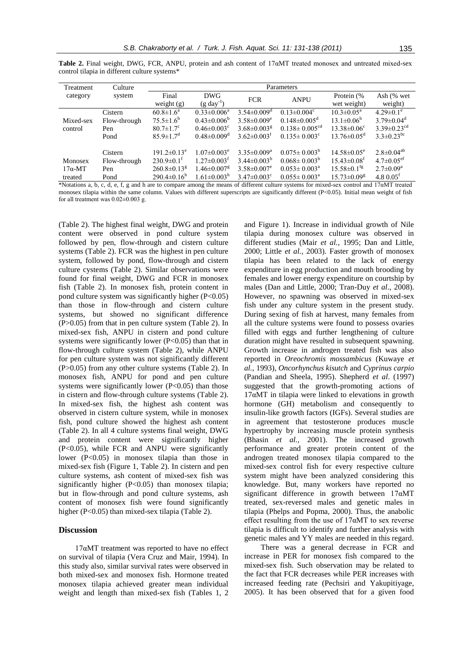| Treatment      | Culture      | Parameters                    |                               |                               |                                 |                               |                               |  |
|----------------|--------------|-------------------------------|-------------------------------|-------------------------------|---------------------------------|-------------------------------|-------------------------------|--|
| category       | system       | Final                         | <b>DWG</b>                    | <b>FCR</b>                    | <b>ANPU</b>                     | Protein (%                    | Ash $(%$ wet                  |  |
|                |              | weight $(g)$                  | $(g \text{ day}^{-1})$        |                               |                                 | wet weight)                   | weight)                       |  |
|                | Cistern      | $60.8 \pm 1.6^a$              | $0.33 \pm 0.006^a$            | $3.54 \pm 0.009$ <sup>d</sup> | $0.13 \pm 0.004$ <sup>c</sup>   | $10.3 \pm 0.05^{\text{a}}$    | $4.29 \pm 0.1$ <sup>e</sup>   |  |
| Mixed-sex      | Flow-through | $75.5 \pm 1.6^b$              | $0.43 \pm 0.006^b$            | $3.58 \pm 0.009$ <sup>e</sup> | $0.148 \pm 0.005$ <sup>d</sup>  | $13.1 \pm 0.06^b$             | $3.79 \pm 0.04$ <sup>d</sup>  |  |
| control        | Pen          | $80.7 \pm 1.7$ <sup>c</sup>   | $0.46 \pm 0.003$ <sup>c</sup> | $3.68 \pm 0.003$ <sup>g</sup> | $0.138 \pm 0.005$ <sup>cd</sup> | $13.38 \pm 0.06$ <sup>c</sup> | $3.39 \pm 0.23$ <sup>cd</sup> |  |
|                | Pond         | $85.9 \pm 1.7$ <sup>d</sup>   | $0.48 \pm 0.009$ <sup>d</sup> | $3.62 \pm 0.003$ <sup>f</sup> | $0.135 \pm 0.003$ <sup>c</sup>  | $13.76 \pm 0.05$ <sup>d</sup> | $3.3 \pm 0.23$ <sup>bc</sup>  |  |
|                | Cistern      | $191.2 \pm 0.13$ <sup>e</sup> | $1.07 \pm 0.003$ <sup>e</sup> | $3.35 \pm 0.009^a$            | $0.075 \pm 0.003^b$             | $14.58 \pm 0.05^e$            | $2.8 \pm 0.04^{ab}$           |  |
| Monosex        | Flow-through | $230.9\pm0.1^{\text{t}}$      | $1.27 \pm 0.003^{\mathrm{t}}$ | $3.44 \pm 0.003^b$            | $0.068 \pm 0.003^b$             | $15.43 \pm 0.08$ <sup>t</sup> | $4.7 \pm 0.05$ <sup>et</sup>  |  |
| $17\alpha$ -MT | Pen          | $260.8 \pm 0.13$ <sup>g</sup> | $1.46 \pm 0.007$ <sup>g</sup> | $3.58 \pm 0.007$ <sup>e</sup> | $0.053 \pm 0.003^{\mathrm{a}}$  | $15.58 \pm 0.1$ <sup>fg</sup> | $2.7 \pm 0.09^{\rm a}$        |  |
| treated        | Pond         | $290.4 \pm 0.16^h$            | $1.61 \pm 0.003$ <sup>n</sup> | $3.47 \pm 0.003$ <sup>c</sup> | $0.055 \pm 0.003^{\text{a}}$    | $15.73 \pm 0.09$ <sup>g</sup> | $4.8 \, 0.05^{\text{t}}$      |  |

**Table 2.** Final weight, DWG, FCR, ANPU, protein and ash content of 17αMT treated monosex and untreated mixed-sex control tilapia in different culture systems\*

\*Notations a, b, c, d, e, f, g and h are to compare among the means of different culture systems for mixed-sex control and 17αMT treated monosex tilapia within the same column. Values with different superscripts are significantly different (P<0.05). Initial mean weight of fish for all treatment was  $0.02\pm0.003$  g.

(Table 2). The highest final weight, DWG and protein content were observed in pond culture system followed by pen, flow-through and cistern culture systems (Table 2). FCR was the highest in pen culture system, followed by pond, flow-through and cistern culture cystems (Table 2). Similar observations were found for final weight, DWG and FCR in monosex fish (Table 2). In monosex fish, protein content in pond culture system was significantly higher  $(P<0.05)$ than those in flow-through and cistern culture systems, but showed no significant difference (P>0.05) from that in pen culture system (Table 2). In mixed-sex fish, ANPU in cistern and pond culture systems were significantly lower  $(P<0.05)$  than that in flow-through culture system (Table 2), while ANPU for pen culture system was not significantly different (P>0.05) from any other culture systems (Table 2). In monosex fish, ANPU for pond and pen culture systems were significantly lower  $(P<0.05)$  than those in cistern and flow-through culture systems (Table 2). In mixed-sex fish, the highest ash content was observed in cistern culture system, while in monosex fish, pond culture showed the highest ash content (Table 2). In all 4 culture systems final weight, DWG and protein content were significantly higher (P<0.05), while FCR and ANPU were significantly lower (P<0.05) in monosex tilapia than those in mixed-sex fish (Figure 1, Table 2). In cistern and pen culture systems, ash content of mixed-sex fish was significantly higher (P<0.05) than monosex tilapia; but in flow-through and pond culture systems, ash content of monosex fish were found significantly higher (P<0.05) than mixed-sex tilapia (Table 2).

# **Discussion**

17αMT treatment was reported to have no effect on survival of tilapia (Vera Cruz and Mair, 1994). In this study also, similar survival rates were observed in both mixed-sex and monosex fish. Hormone treated monosex tilapia achieved greater mean individual weight and length than mixed-sex fish (Tables 1, 2

and Figure 1). Increase in individual growth of Nile tilapia during monosex culture was observed in different studies (Mair *et al.,* 1995; Dan and Little, 2000; Little *et al.,* 2003). Faster growth of monosex tilapia has been related to the lack of energy expenditure in egg production and mouth brooding by females and lower energy expenditure on courtship by males (Dan and Little, 2000; Tran-Duy *et al*., 2008). However, no spawning was observed in mixed-sex fish under any culture system in the present study. During sexing of fish at harvest, many females from all the culture systems were found to possess ovaries filled with eggs and further lengthening of culture duration might have resulted in subsequent spawning. Growth increase in androgen treated fish was also reported in *Oreochromis mossambicus* (Kuwaye *et al.,* 1993), *Oncorhynchus kisutch* and *Cyprinus carpio* (Pandian and Sheela, 1995). Shepherd *et al*. (1997) suggested that the growth-promoting actions of  $17\alpha MT$  in tilapia were linked to elevations in growth hormone (GH) metabolism and consequently to insulin-like growth factors (IGFs). Several studies are in agreement that testosterone produces muscle hypertrophy by increasing muscle protein synthesis (Bhasin *et al.,* 2001). The increased growth performance and greater protein content of the androgen treated monosex tilapia compared to the mixed-sex control fish for every respective culture system might have been analyzed considering this knowledge. But, many workers have reported no significant difference in growth between 17αMT treated, sex-reversed males and genetic males in tilapia (Phelps and Popma, 2000). Thus, the anabolic effect resulting from the use of 17αMT to sex reverse tilapia is difficult to identify and further analysis with genetic males and YY males are needed in this regard.

There was a general decrease in FCR and increase in PER for monosex fish compared to the mixed-sex fish. Such observation may be related to the fact that FCR decreases while PER increases with increased feeding rate (Pechsiri and Yakupitiyage, 2005). It has been observed that for a given food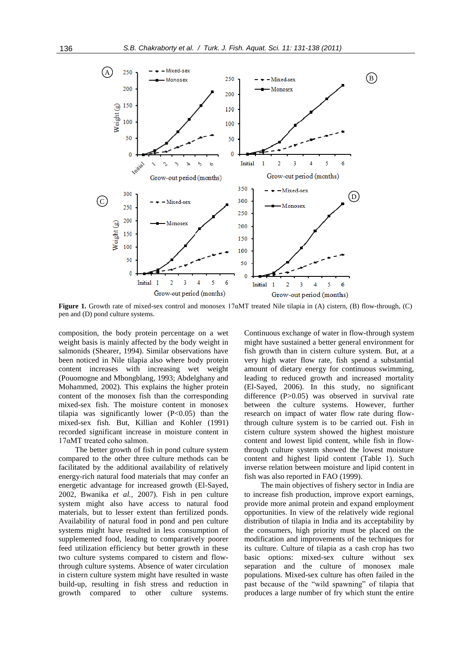

**Figure 1.** Growth rate of mixed-sex control and monosex 17αMT treated Nile tilapia in (A) cistern, (B) flow-through, (C) pen and (D) pond culture systems.

composition, the body protein percentage on a wet weight basis is mainly affected by the body weight in salmonids (Shearer, 1994). Similar observations have been noticed in Nile tilapia also where body protein content increases with increasing wet weight (Pouomogne and Mbongblang, 1993; Abdelghany and Mohammed, 2002). This explains the higher protein content of the monosex fish than the corresponding mixed-sex fish. The moisture content in monosex tilapia was significantly lower (P<0.05) than the mixed-sex fish. But, Killian and Kohler (1991) recorded significant increase in moisture content in 17αMT treated coho salmon.

The better growth of fish in pond culture system compared to the other three culture methods can be facilitated by the additional availability of relatively energy-rich natural food materials that may confer an energetic advantage for increased growth (El-Sayed, 2002, Bwanika *et al.,* 2007). Fish in pen culture system might also have access to natural food materials, but to lesser extent than fertilized ponds. Availability of natural food in pond and pen culture systems might have resulted in less consumption of supplemented food, leading to comparatively poorer feed utilization efficiency but better growth in these two culture systems compared to cistern and flowthrough culture systems. Absence of water circulation in cistern culture system might have resulted in waste build-up, resulting in fish stress and reduction in growth compared to other culture systems.

Continuous exchange of water in flow-through system might have sustained a better general environment for fish growth than in cistern culture system. But, at a very high water flow rate, fish spend a substantial amount of dietary energy for continuous swimming, leading to reduced growth and increased mortality (El-Sayed, 2006). In this study, no significant difference (P>0.05) was observed in survival rate between the culture systems. However, further research on impact of water flow rate during flowthrough culture system is to be carried out. Fish in cistern culture system showed the highest moisture content and lowest lipid content, while fish in flowthrough culture system showed the lowest moisture content and highest lipid content (Table 1). Such inverse relation between moisture and lipid content in fish was also reported in FAO (1999).

The main objectives of fishery sector in India are to increase fish production, improve export earnings, provide more animal protein and expand employment opportunities. In view of the relatively wide regional distribution of tilapia in India and its acceptability by the consumers, high priority must be placed on the modification and improvements of the techniques for its culture. Culture of tilapia as a cash crop has two basic options: mixed-sex culture without sex separation and the culture of monosex male populations. Mixed-sex culture has often failed in the past because of the "wild spawning" of tilapia that produces a large number of fry which stunt the entire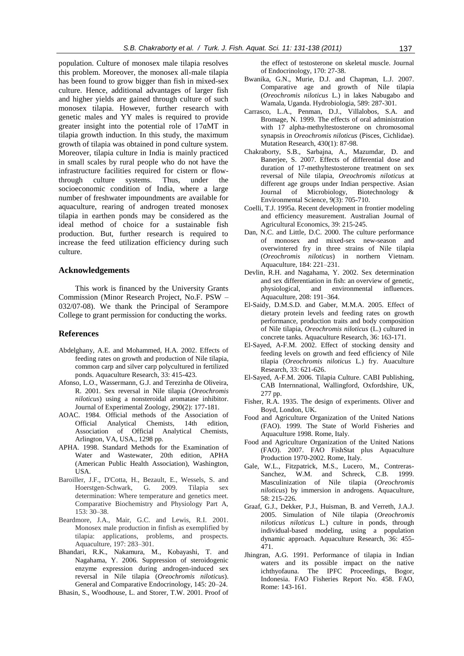population. Culture of monosex male tilapia resolves this problem. Moreover, the monosex all-male tilapia has been found to grow bigger than fish in mixed-sex culture. Hence, additional advantages of larger fish and higher yields are gained through culture of such monosex tilapia. However, further research with genetic males and YY males is required to provide greater insight into the potential role of  $17\alpha MT$  in tilapia growth induction. In this study, the maximum growth of tilapia was obtained in pond culture system. Moreover, tilapia culture in India is mainly practiced in small scales by rural people who do not have the infrastructure facilities required for cistern or flowthrough culture systems. Thus, under the socioeconomic condition of India, where a large number of freshwater impoundments are available for aquaculture, rearing of androgen treated monosex tilapia in earthen ponds may be considered as the ideal method of choice for a sustainable fish production. But, further research is required to increase the feed utilization efficiency during such culture.

# **Acknowledgements**

This work is financed by the University Grants Commission (Minor Research Project, No.F. PSW – 032/07-08). We thank the Principal of Serampore College to grant permission for conducting the works.

#### **References**

- Abdelghany, A.E. and Mohammed, H.A. 2002. Effects of feeding rates on growth and production of Nile tilapia, common carp and silver carp polycultured in fertilized ponds. Aquaculture Research, 33: 415-423.
- Afonso, L.O., Wassermann, G.J. and Terezinha de Oliveira, R. 2001. Sex reversal in Nile tilapia (*Oreochromis niloticus*) using a nonsteroidal aromatase inhibitor. Journal of Experimental Zoology, 290(2): 177-181.
- AOAC. 1984. Official methods of the Association of Official Analytical Chemists, 14th edition, Association of Official Analytical Chemists, Arlington, VA, USA., 1298 pp.
- APHA. 1998. Standard Methods for the Examination of Water and Wastewater, 20th edition, APHA (American Public Health Association), Washington, USA.
- Baroiller, J.F., D'Cotta, H., Bezault, E., Wessels, S. and Hoerstgen-Schwark, G. 2009. Tilapia sex determination: Where temperature and genetics meet. Comparative Biochemistry and Physiology Part A, 153: 30–38.
- Beardmore, J.A., Mair, G.C. and Lewis, R.I. 2001. Monosex male production in finfish as exemplified by tilapia: applications, problems, and prospects. Aquaculture, 197: 283–301.
- Bhandari, R.K., Nakamura, M., Kobayashi, T. and Nagahama, Y. 2006. Suppression of steroidogenic enzyme expression during androgen-induced sex reversal in Nile tilapia (*Oreochromis niloticus*). General and Comparative Endocrinology, 145: 20–24.
- Bhasin, S., Woodhouse, L. and Storer, T.W. 2001. Proof of

the effect of testosterone on skeletal muscle. Journal of Endocrinology, 170: 27-38.

- Bwanika, G.N., Murie, D.J. and Chapman, L.J. 2007. Comparative age and growth of Nile tilapia (*Oreochromis niloticus* L.) in lakes Nabugabo and Wamala, Uganda. Hydrobiologia, 589: 287-301.
- Carrasco, L.A., Penman, D.J., Villalobos, S.A. and Bromage, N. 1999. The effects of oral administration with 17 alpha-methyltestosterone on chromosomal synapsis in *Oreochromis niloticus* (Pisces, Cichlidae). Mutation Research, 430(1): 87-98.
- Chakraborty, S.B., Sarbajna, A., Mazumdar, D. and Banerjee, S. 2007. Effects of differential dose and duration of 17-methyltestosterone treatment on sex reversal of Nile tilapia, *Oreochromis niloticus* at different age groups under Indian perspective. Asian Journal of Microbiology, Biotechnology Environmental Science, 9(3): 705-710.
- Coelli, T.J. 1995a. Recent development in frontier modeling and efficiency measurement. Australian Journal of Agricultural Economics, 39: 215-245.
- Dan, N.C. and Little, D.C. 2000. The culture performance of monosex and mixed-sex new-season and overwintered fry in three strains of Nile tilapia (*Oreochromis niloticus*) in northern Vietnam. Aquaculture, 184: 221–231.
- Devlin, R.H. and Nagahama, Y. 2002. Sex determination and sex differentiation in fish: an overview of genetic, physiological, and environmental influences. Aquaculture, 208: 191–364.
- El-Saidy, D.M.S.D. and Gaber, M.M.A. 2005. Effect of dietary protein levels and feeding rates on growth performance, production traits and body composition of Nile tilapia, *Oreochromis niloticus* (L.) cultured in concrete tanks. Aquaculture Research, 36: 163-171.
- El-Sayed, A-F.M. 2002. Effect of stocking density and feeding levels on growth and feed efficiency of Nile tilapia (*Oreochromis niloticus* L.) fry. Auaculture Research, 33: 621-626.
- El-Sayed, A-F.M. 2006. Tilapia Culture. CABI Publishing, CAB Internnational, Wallingford, Oxfordshire, UK, 277 pp.
- Fisher, R.A. 1935. The design of experiments. Oliver and Boyd, London, UK.
- Food and Agriculture Organization of the United Nations (FAO). 1999. The State of World Fisheries and Aquaculture 1998. Rome, Italy.
- Food and Agriculture Organization of the United Nations (FAO). 2007. FAO FishStat plus Aquaculture Production 1970-2002. Rome, Italy.
- Gale, W.L., Fitzpatrick, M.S., Lucero, M., Contreras-Sanchez, W.M. and Schreck, C.B. 1999. Masculinization of Nile tilapia (*Oreochromis niloticus*) by immersion in androgens. Aquaculture, 58: 215-226.
- Graaf, G.J., Dekker, P.J., Huisman, B. and Verreth, J.A.J. 2005. Simulation of Nile tilapia (*Oreochromis niloticus niloticus* L.) culture in ponds, through individual-based modeling, using a population dynamic approach. Aquaculture Research, 36: 455- 471.
- Jhingran, A.G. 1991. Performance of tilapia in Indian waters and its possible impact on the native ichthyofauna. The IPFC Proceedings, Bogor, Indonesia. FAO Fisheries Report No. 458. FAO, Rome: 143-161.